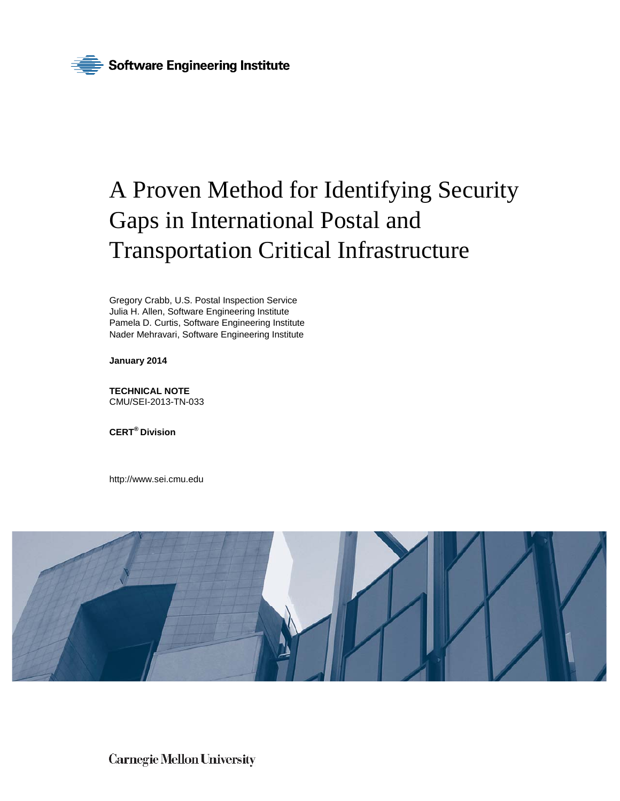

# A Proven Method for Identifying Security Gaps in International Postal and Transportation Critical Infrastructure

Gregory Crabb, U.S. Postal Inspection Service Julia H. Allen, Software Engineering Institute Pamela D. Curtis, Software Engineering Institute Nader Mehravari, Software Engineering Institute

**January 2014** 

**TECHNICAL NOTE**  CMU/SEI-2013-TN-033

**CERT® Division** 

<http://www.sei.cmu.edu>



**Carnegie Mellon University**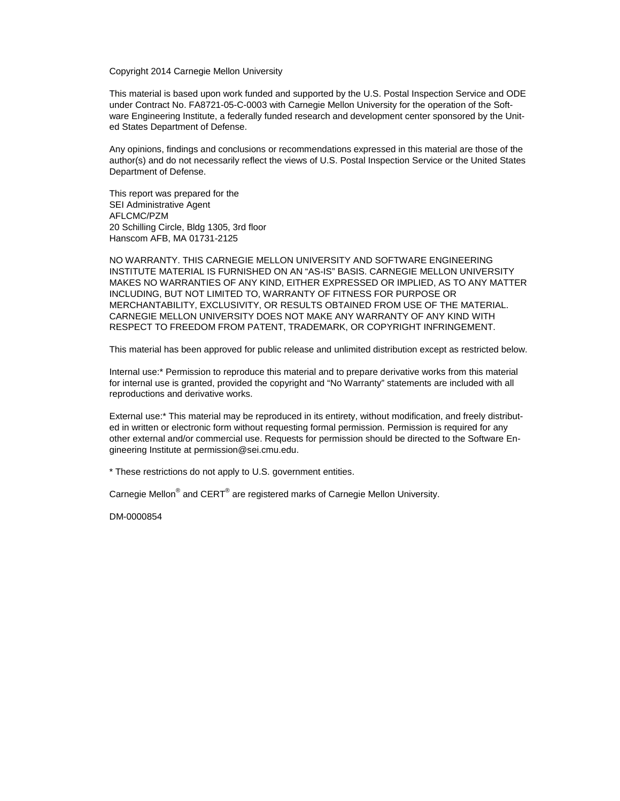Copyright 2014 Carnegie Mellon University

This material is based upon work funded and supported by the U.S. Postal Inspection Service and ODE under Contract No. FA8721-05-C-0003 with Carnegie Mellon University for the operation of the Software Engineering Institute, a federally funded research and development center sponsored by the United States Department of Defense.

Any opinions, findings and conclusions or recommendations expressed in this material are those of the author(s) and do not necessarily reflect the views of U.S. Postal Inspection Service or the United States Department of Defense.

This report was prepared for the SEI Administrative Agent AFLCMC/PZM 20 Schilling Circle, Bldg 1305, 3rd floor Hanscom AFB, MA 01731-2125

NO WARRANTY. THIS CARNEGIE MELLON UNIVERSITY AND SOFTWARE ENGINEERING INSTITUTE MATERIAL IS FURNISHED ON AN "AS-IS" BASIS. CARNEGIE MELLON UNIVERSITY MAKES NO WARRANTIES OF ANY KIND, EITHER EXPRESSED OR IMPLIED, AS TO ANY MATTER INCLUDING, BUT NOT LIMITED TO, WARRANTY OF FITNESS FOR PURPOSE OR MERCHANTABILITY, EXCLUSIVITY, OR RESULTS OBTAINED FROM USE OF THE MATERIAL. CARNEGIE MELLON UNIVERSITY DOES NOT MAKE ANY WARRANTY OF ANY KIND WITH RESPECT TO FREEDOM FROM PATENT, TRADEMARK, OR COPYRIGHT INFRINGEMENT.

This material has been approved for public release and unlimited distribution except as restricted below.

Internal use:\* Permission to reproduce this material and to prepare derivative works from this material for internal use is granted, provided the copyright and "No Warranty" statements are included with all reproductions and derivative works.

External use:\* This material may be reproduced in its entirety, without modification, and freely distributed in written or electronic form without requesting formal permission. Permission is required for any other external and/or commercial use. Requests for permission should be directed to the Software Engineering Institute at [permission@sei.cmu.edu.](mailto:permission@sei.cmu.edu) 

\* These restrictions do not apply to U.S. government entities.

Carnegie Mellon® and CERT® are registered marks of Carnegie Mellon University.

DM-0000854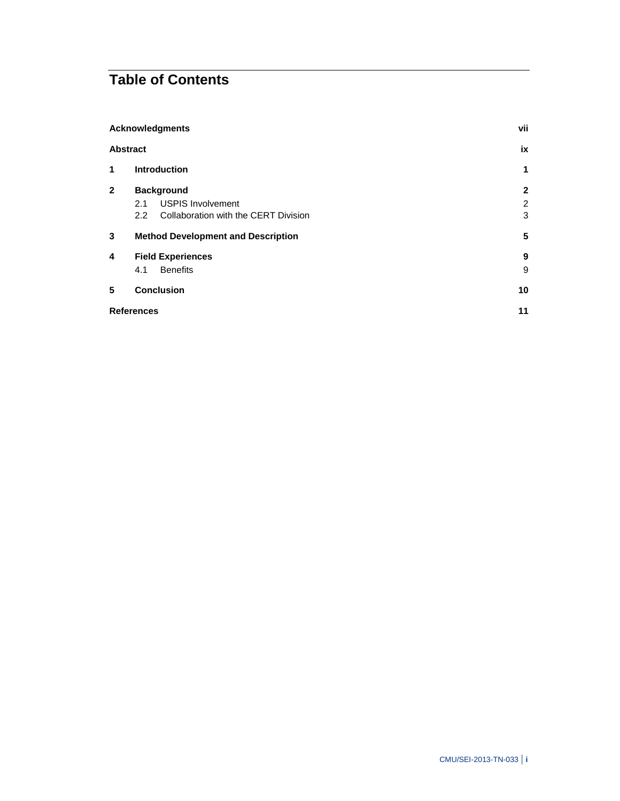# **Table of Contents**

|                 | <b>Acknowledgments</b>                      | vii            |
|-----------------|---------------------------------------------|----------------|
| <b>Abstract</b> |                                             |                |
| 1               | <b>Introduction</b>                         | $\mathbf{1}$   |
| $\overline{2}$  | <b>Background</b>                           | $\mathbf{2}$   |
|                 | <b>USPIS Involvement</b><br>2.1             | $\overline{2}$ |
|                 | Collaboration with the CERT Division<br>2.2 | 3              |
| 3               | <b>Method Development and Description</b>   | 5              |
| 4               | <b>Field Experiences</b>                    | 9              |
|                 | <b>Benefits</b><br>4.1                      | 9              |
| 5               | <b>Conclusion</b>                           | 10             |
|                 | <b>References</b>                           | 11             |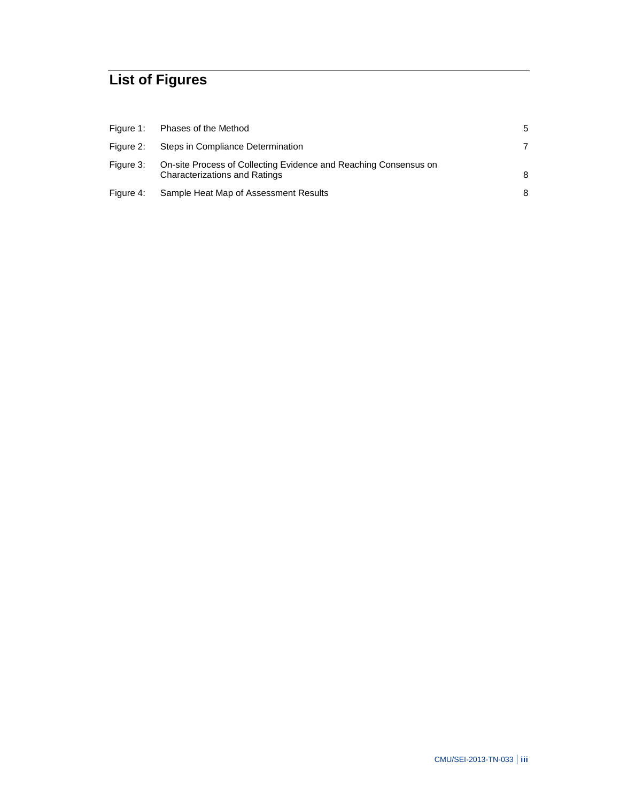# **List of Figures**

|           | Figure 1: Phases of the Method                                                                           | 5 |
|-----------|----------------------------------------------------------------------------------------------------------|---|
| Figure 2: | Steps in Compliance Determination                                                                        | 7 |
| Figure 3: | On-site Process of Collecting Evidence and Reaching Consensus on<br><b>Characterizations and Ratings</b> | 8 |
| Figure 4: | Sample Heat Map of Assessment Results                                                                    | 8 |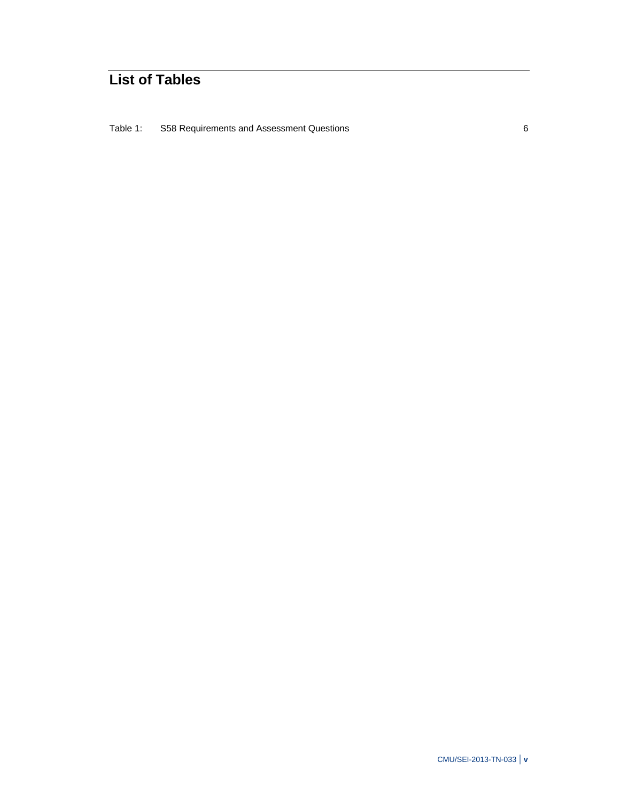# **List of Tables**

Table 1: S58 Requirements and Assessment Questions 6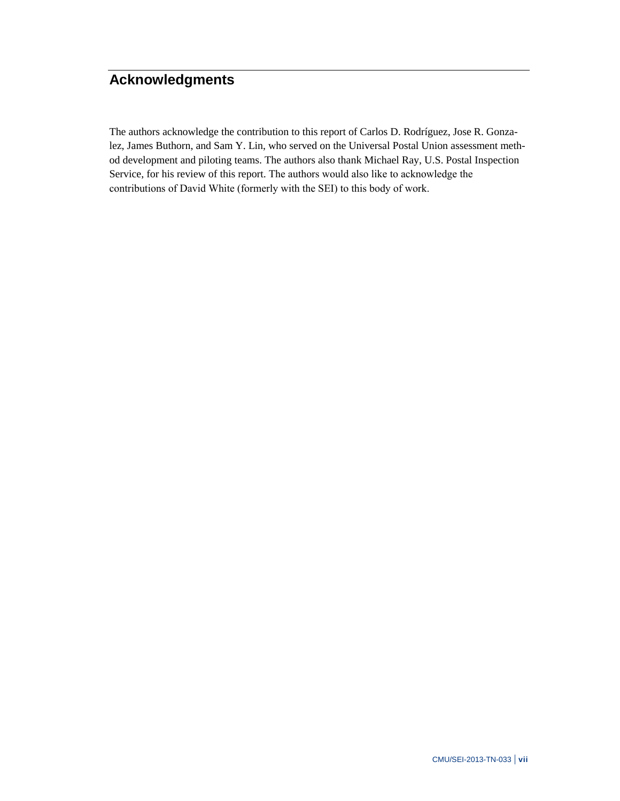# **Acknowledgments**

The authors acknowledge the contribution to this report of Carlos D. Rodríguez, Jose R. Gonzalez, James Buthorn, and Sam Y. Lin, who served on the Universal Postal Union assessment method development and piloting teams. The authors also thank Michael Ray, U.S. Postal Inspection Service, for his review of this report. The authors would also like to acknowledge the contributions of David White (formerly with the SEI) to this body of work.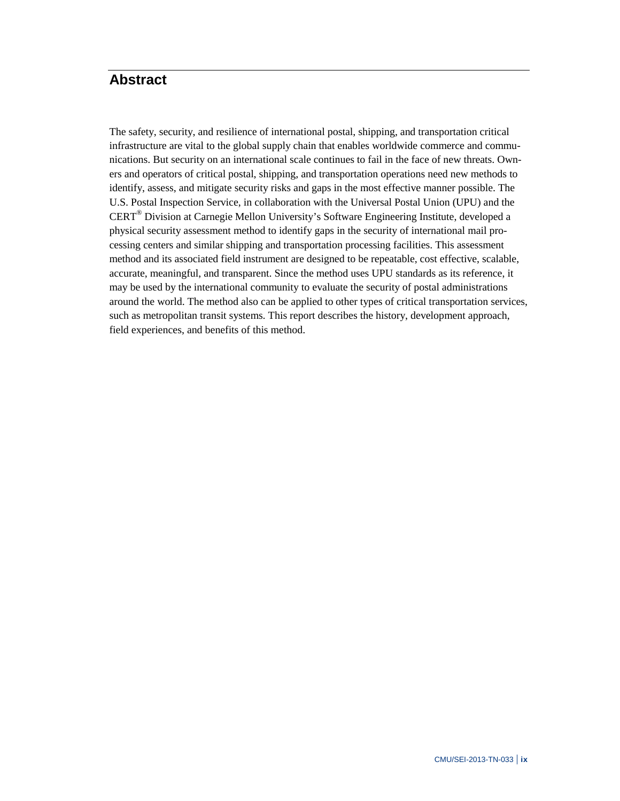### **Abstract**

The safety, security, and resilience of international postal, shipping, and transportation critical infrastructure are vital to the global supply chain that enables worldwide commerce and communications. But security on an international scale continues to fail in the face of new threats. Owners and operators of critical postal, shipping, and transportation operations need new methods to identify, assess, and mitigate security risks and gaps in the most effective manner possible. The U.S. Postal Inspection Service, in collaboration with the Universal Postal Union (UPU) and the CERT® Division at Carnegie Mellon University's Software Engineering Institute, developed a physical security assessment method to identify gaps in the security of international mail processing centers and similar shipping and transportation processing facilities. This assessment method and its associated field instrument are designed to be repeatable, cost effective, scalable, accurate, meaningful, and transparent. Since the method uses UPU standards as its reference, it may be used by the international community to evaluate the security of postal administrations around the world. The method also can be applied to other types of critical transportation services, such as metropolitan transit systems. This report describes the history, development approach, field experiences, and benefits of this method.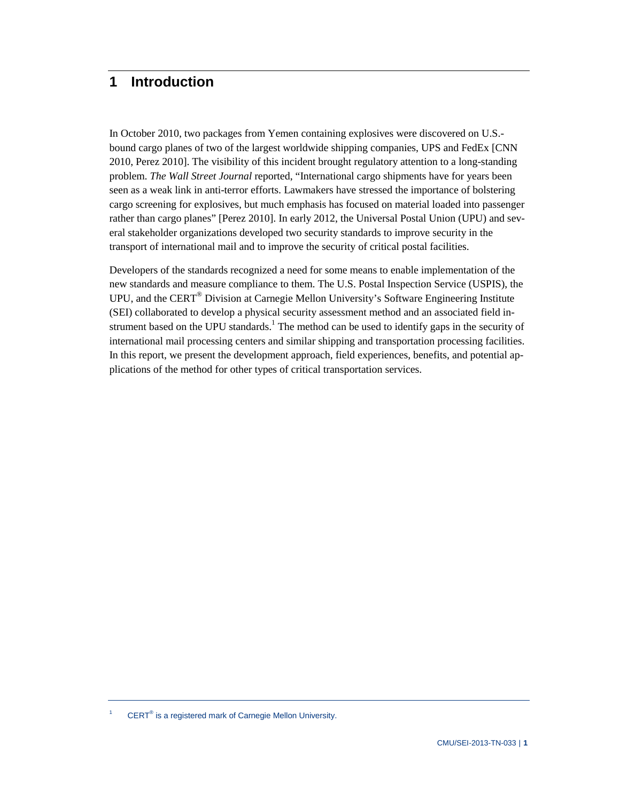# **1 Introduction**

In October 2010, two packages from Yemen containing explosives were discovered on U.S. bound cargo planes of two of the largest worldwide shipping companies, UPS and FedEx [CNN 2010, Perez 2010]. The visibility of this incident brought regulatory attention to a long-standing problem. *The Wall Street Journal* reported, "International cargo shipments have for years been seen as a weak link in anti-terror efforts. Lawmakers have stressed the importance of bolstering cargo screening for explosives, but much emphasis has focused on material loaded into passenger rather than cargo planes" [Perez 2010]. In early 2012, the Universal Postal Union (UPU) and several stakeholder organizations developed two security standards to improve security in the transport of international mail and to improve the security of critical postal facilities.

Developers of the standards recognized a need for some means to enable implementation of the new standards and measure compliance to them. The U.S. Postal Inspection Service (USPIS), the UPU, and the CERT® Division at Carnegie Mellon University's Software Engineering Institute (SEI) collaborated to develop a physical security assessment method and an associated field instrument based on the UPU standards.<sup>1</sup> The method can be used to identify gaps in the security of international mail processing centers and similar shipping and transportation processing facilities. In this report, we present the development approach, field experiences, benefits, and potential applications of the method for other types of critical transportation services.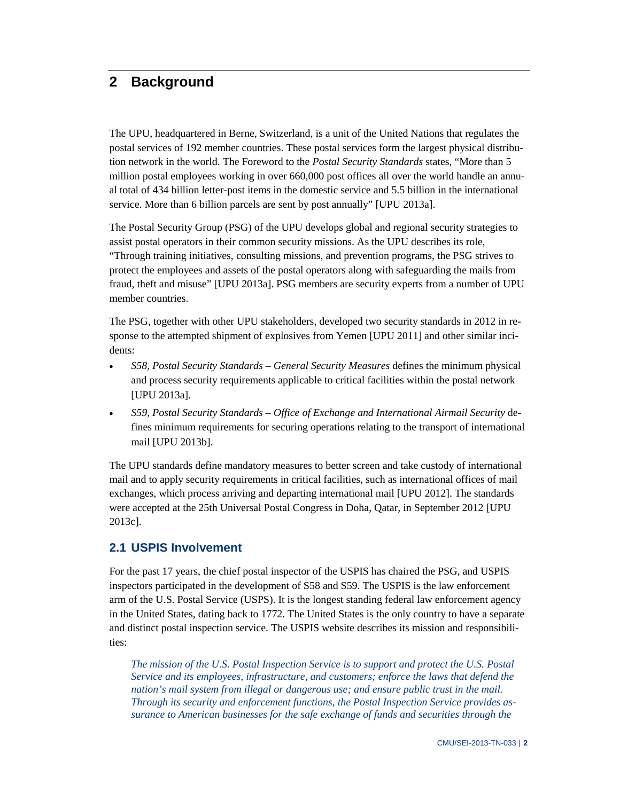# **2 Background**

The UPU, headquartered in Berne, Switzerland, is a unit of the United Nations that regulates the postal services of 192 member countries. These postal services form the largest physical distribution network in the world. The Foreword to the *Postal Security Standards* states, "More than 5 million postal employees working in over 660,000 post offices all over the world handle an annual total of 434 billion letter-post items in the domestic service and 5.5 billion in the international service. More than 6 billion parcels are sent by post annually" [UPU 2013a].

The Postal Security Group (PSG) of the UPU develops global and regional security strategies to assist postal operators in their common security missions. As the UPU describes its role, "Through training initiatives, consulting missions, and prevention programs, the PSG strives to protect the employees and assets of the postal operators along with safeguarding the mails from fraud, theft and misuse" [UPU 2013a]. PSG members are security experts from a number of UPU member countries.

The PSG, together with other UPU stakeholders, developed two security standards in 2012 in response to the attempted shipment of explosives from Yemen [UPU 2011] and other similar incidents:

- *S58, Postal Security Standards General Security Measures* defines the minimum physical and process security requirements applicable to critical facilities within the postal network [UPU 2013a].
- *S59, Postal Security Standards Office of Exchange and International Airmail Security* defines minimum requirements for securing operations relating to the transport of international mail [UPU 2013b].

The UPU standards define mandatory measures to better screen and take custody of international mail and to apply security requirements in critical facilities, such as international offices of mail exchanges, which process arriving and departing international mail [UPU 2012]. The standards were accepted at the 25th Universal Postal Congress in Doha, Qatar, in September 2012 [UPU 2013c].

#### **2.1 USPIS Involvement**

For the past 17 years, the chief postal inspector of the USPIS has chaired the PSG, and USPIS inspectors participated in the development of S58 and S59. The USPIS is the law enforcement arm of the U.S. Postal Service (USPS). It is the longest standing federal law enforcement agency in the United States, dating back to 1772. The United States is the only country to have a separate and distinct postal inspection service. The USPIS website describes its mission and responsibilities:

*The mission of the U.S. Postal Inspection Service is to support and protect the U.S. Postal Service and its employees, infrastructure, and customers; enforce the laws that defend the nation's mail system from illegal or dangerous use; and ensure public trust in the mail. Through its security and enforcement functions, the Postal Inspection Service provides assurance to American businesses for the safe exchange of funds and securities through the*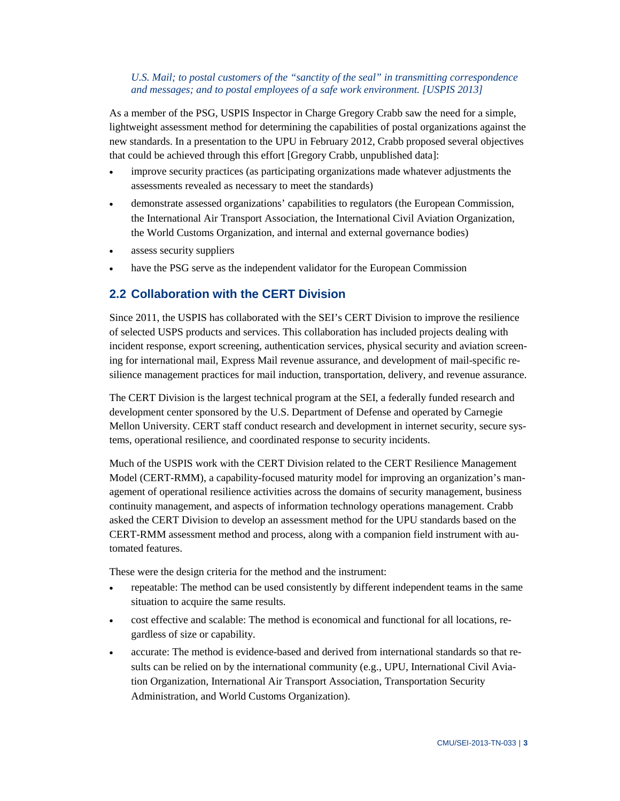#### *U.S. Mail; to postal customers of the "sanctity of the seal" in transmitting correspondence and messages; and to postal employees of a safe work environment. [USPIS 2013]*

As a member of the PSG, USPIS Inspector in Charge Gregory Crabb saw the need for a simple, lightweight assessment method for determining the capabilities of postal organizations against the new standards. In a presentation to the UPU in February 2012, Crabb proposed several objectives that could be achieved through this effort [Gregory Crabb, unpublished data]:

- improve security practices (as participating organizations made whatever adjustments the assessments revealed as necessary to meet the standards)
- demonstrate assessed organizations' capabilities to regulators (the European Commission, the International Air Transport Association, the International Civil Aviation Organization, the World Customs Organization, and internal and external governance bodies)
- assess security suppliers
- have the PSG serve as the independent validator for the European Commission

#### **2.2 Collaboration with the CERT Division**

Since 2011, the USPIS has collaborated with the SEI's CERT Division to improve the resilience of selected USPS products and services. This collaboration has included projects dealing with incident response, export screening, authentication services, physical security and aviation screening for international mail, Express Mail revenue assurance, and development of mail-specific resilience management practices for mail induction, transportation, delivery, and revenue assurance.

The CERT Division is the largest technical program at the SEI, a federally funded research and development center sponsored by the U.S. Department of Defense and operated by Carnegie Mellon University. CERT staff conduct research and development in internet security, secure systems, operational resilience, and coordinated response to security incidents.

Much of the USPIS work with the CERT Division related to the CERT Resilience Management Model (CERT-RMM), a capability-focused maturity model for improving an organization's management of operational resilience activities across the domains of security management, business continuity management, and aspects of information technology operations management. Crabb asked the CERT Division to develop an assessment method for the UPU standards based on the CERT-RMM assessment method and process, along with a companion field instrument with automated features.

These were the design criteria for the method and the instrument:

- repeatable: The method can be used consistently by different independent teams in the same situation to acquire the same results.
- cost effective and scalable: The method is economical and functional for all locations, regardless of size or capability.
- accurate: The method is evidence-based and derived from international standards so that results can be relied on by the international community (e.g., UPU, International Civil Aviation Organization, International Air Transport Association, Transportation Security Administration, and World Customs Organization).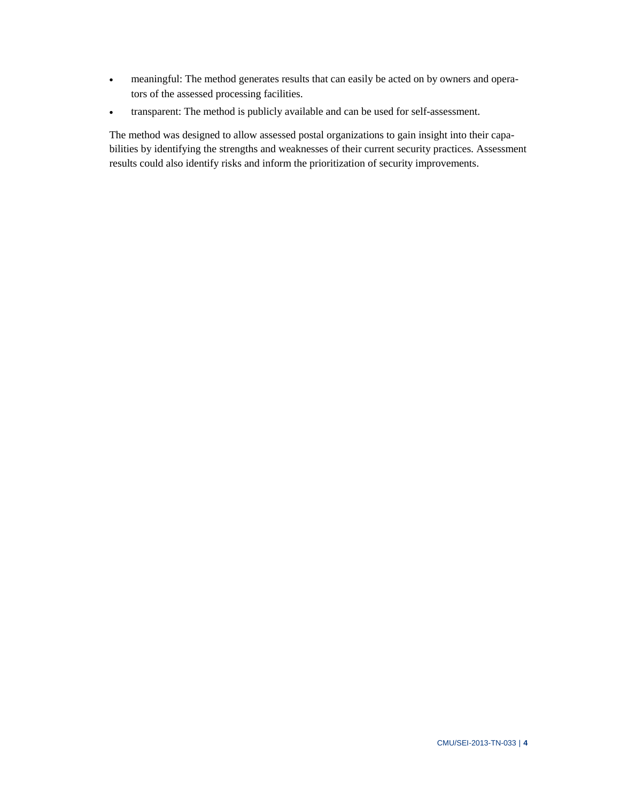- meaningful: The method generates results that can easily be acted on by owners and operators of the assessed processing facilities.
- transparent: The method is publicly available and can be used for self-assessment.

The method was designed to allow assessed postal organizations to gain insight into their capabilities by identifying the strengths and weaknesses of their current security practices. Assessment results could also identify risks and inform the prioritization of security improvements.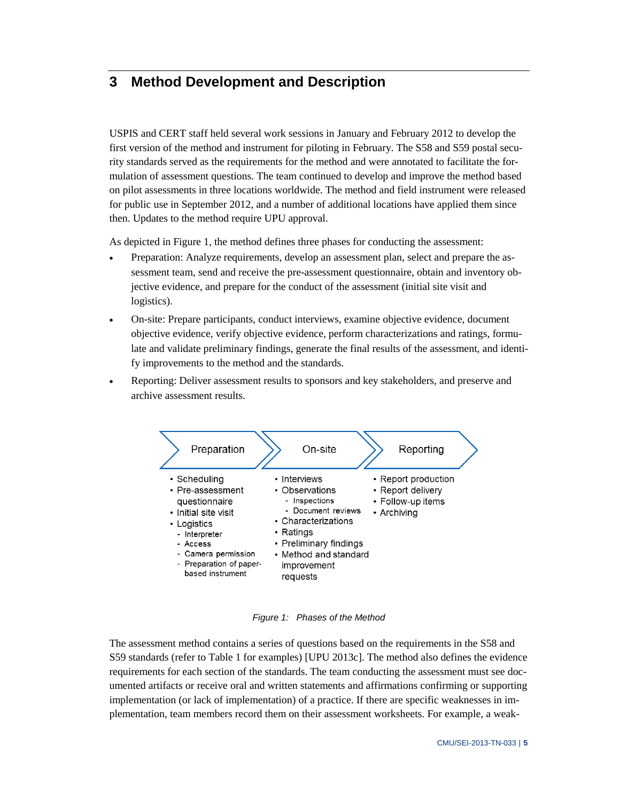### **3 Method Development and Description**

USPIS and CERT staff held several work sessions in January and February 2012 to develop the first version of the method and instrument for piloting in February. The S58 and S59 postal security standards served as the requirements for the method and were annotated to facilitate the formulation of assessment questions. The team continued to develop and improve the method based on pilot assessments in three locations worldwide. The method and field instrument were released for public use in September 2012, and a number of additional locations have applied them since then. Updates to the method require UPU approval.

As depicted in Figure 1, the method defines three phases for conducting the assessment:

- Preparation: Analyze requirements, develop an assessment plan, select and prepare the assessment team, send and receive the pre-assessment questionnaire, obtain and inventory objective evidence, and prepare for the conduct of the assessment (initial site visit and logistics).
- On-site: Prepare participants, conduct interviews, examine objective evidence, document objective evidence, verify objective evidence, perform characterizations and ratings, formulate and validate preliminary findings, generate the final results of the assessment, and identify improvements to the method and the standards.
- Reporting: Deliver assessment results to sponsors and key stakeholders, and preserve and archive assessment results.



*Figure 1: Phases of the Method* 

The assessment method contains a series of questions based on the requirements in the S58 and S59 standards (refer to Table 1 for examples) [UPU 2013c]. The method also defines the evidence requirements for each section of the standards. The team conducting the assessment must see documented artifacts or receive oral and written statements and affirmations confirming or supporting implementation (or lack of implementation) of a practice. If there are specific weaknesses in implementation, team members record them on their assessment worksheets. For example, a weak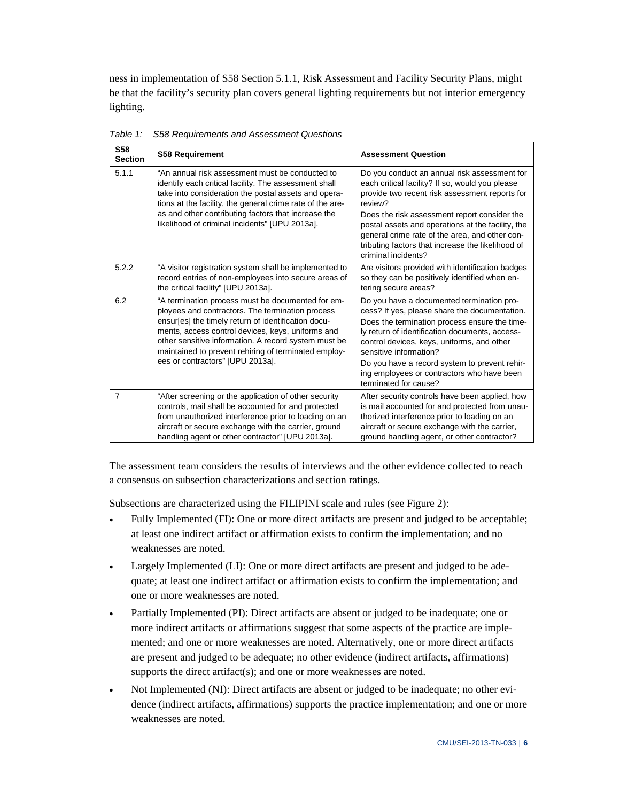ness in implementation of S58 Section 5.1.1, Risk Assessment and Facility Security Plans, might be that the facility's security plan covers general lighting requirements but not interior emergency lighting.

| <b>S58</b><br><b>Section</b> | <b>S58 Requirement</b>                                                                                                                                                                                                                                                                                                                                                | <b>Assessment Question</b>                                                                                                                                                                                                                                                                                                                                                                      |
|------------------------------|-----------------------------------------------------------------------------------------------------------------------------------------------------------------------------------------------------------------------------------------------------------------------------------------------------------------------------------------------------------------------|-------------------------------------------------------------------------------------------------------------------------------------------------------------------------------------------------------------------------------------------------------------------------------------------------------------------------------------------------------------------------------------------------|
| 5.1.1                        | "An annual risk assessment must be conducted to<br>identify each critical facility. The assessment shall<br>take into consideration the postal assets and opera-<br>tions at the facility, the general crime rate of the are-<br>as and other contributing factors that increase the<br>likelihood of criminal incidents" [UPU 2013a].                                | Do you conduct an annual risk assessment for<br>each critical facility? If so, would you please<br>provide two recent risk assessment reports for<br>review?<br>Does the risk assessment report consider the<br>postal assets and operations at the facility, the<br>general crime rate of the area, and other con-<br>tributing factors that increase the likelihood of<br>criminal incidents? |
| 5.2.2                        | "A visitor registration system shall be implemented to<br>record entries of non-employees into secure areas of<br>the critical facility" [UPU 2013a].                                                                                                                                                                                                                 | Are visitors provided with identification badges<br>so they can be positively identified when en-<br>tering secure areas?                                                                                                                                                                                                                                                                       |
| 6.2                          | "A termination process must be documented for em-<br>ployees and contractors. The termination process<br>ensur[es] the timely return of identification docu-<br>ments, access control devices, keys, uniforms and<br>other sensitive information. A record system must be<br>maintained to prevent rehiring of terminated employ-<br>ees or contractors" [UPU 2013a]. | Do you have a documented termination pro-<br>cess? If yes, please share the documentation.<br>Does the termination process ensure the time-<br>ly return of identification documents, access-<br>control devices, keys, uniforms, and other<br>sensitive information?<br>Do you have a record system to prevent rehir-<br>ing employees or contractors who have been<br>terminated for cause?   |
| $\overline{7}$               | "After screening or the application of other security<br>controls, mail shall be accounted for and protected<br>from unauthorized interference prior to loading on an<br>aircraft or secure exchange with the carrier, ground<br>handling agent or other contractor" [UPU 2013a].                                                                                     | After security controls have been applied, how<br>is mail accounted for and protected from unau-<br>thorized interference prior to loading on an<br>aircraft or secure exchange with the carrier,<br>ground handling agent, or other contractor?                                                                                                                                                |

*Table 1: S58 Requirements and Assessment Questions* 

The assessment team considers the results of interviews and the other evidence collected to reach a consensus on subsection characterizations and section ratings.

Subsections are characterized using the FILIPINI scale and rules (see Figure 2):

- Fully Implemented (FI): One or more direct artifacts are present and judged to be acceptable; at least one indirect artifact or affirmation exists to confirm the implementation; and no weaknesses are noted.
- Largely Implemented (LI): One or more direct artifacts are present and judged to be adequate; at least one indirect artifact or affirmation exists to confirm the implementation; and one or more weaknesses are noted.
- Partially Implemented (PI): Direct artifacts are absent or judged to be inadequate; one or more indirect artifacts or affirmations suggest that some aspects of the practice are implemented; and one or more weaknesses are noted. Alternatively, one or more direct artifacts are present and judged to be adequate; no other evidence (indirect artifacts, affirmations) supports the direct artifact(s); and one or more weaknesses are noted.
- Not Implemented (NI): Direct artifacts are absent or judged to be inadequate; no other evidence (indirect artifacts, affirmations) supports the practice implementation; and one or more weaknesses are noted.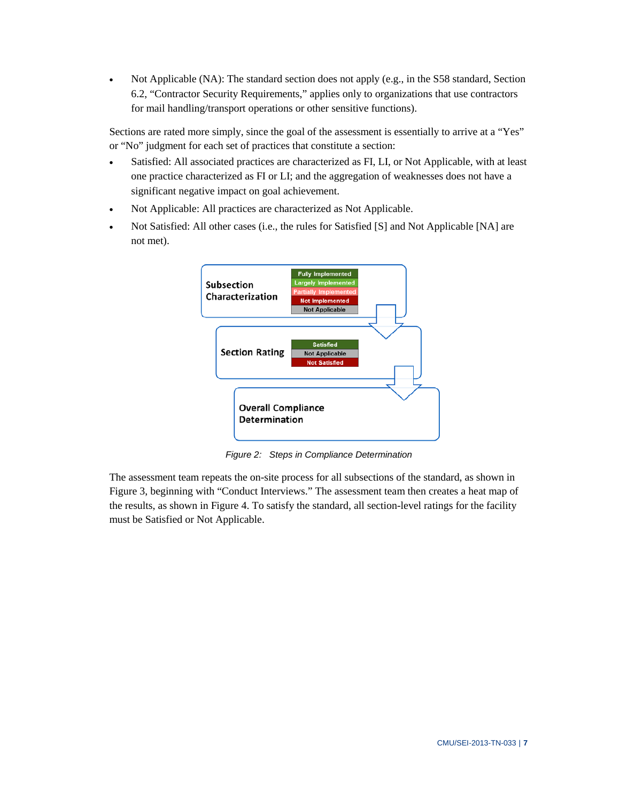• Not Applicable (NA): The standard section does not apply (e.g., in the S58 standard, Section 6.2, "Contractor Security Requirements," applies only to organizations that use contractors for mail handling/transport operations or other sensitive functions).

Sections are rated more simply, since the goal of the assessment is essentially to arrive at a "Yes" or "No" judgment for each set of practices that constitute a section:

- Satisfied: All associated practices are characterized as FI, LI, or Not Applicable, with at least one practice characterized as FI or LI; and the aggregation of weaknesses does not have a significant negative impact on goal achievement.
- Not Applicable: All practices are characterized as Not Applicable.
- Not Satisfied: All other cases (i.e., the rules for Satisfied [S] and Not Applicable [NA] are not met).



*Figure 2: Steps in Compliance Determination* 

The assessment team repeats the on-site process for all subsections of the standard, as shown in Figure 3, beginning with "Conduct Interviews." The assessment team then creates a heat map of the results, as shown in Figure 4. To satisfy the standard, all section-level ratings for the facility must be Satisfied or Not Applicable.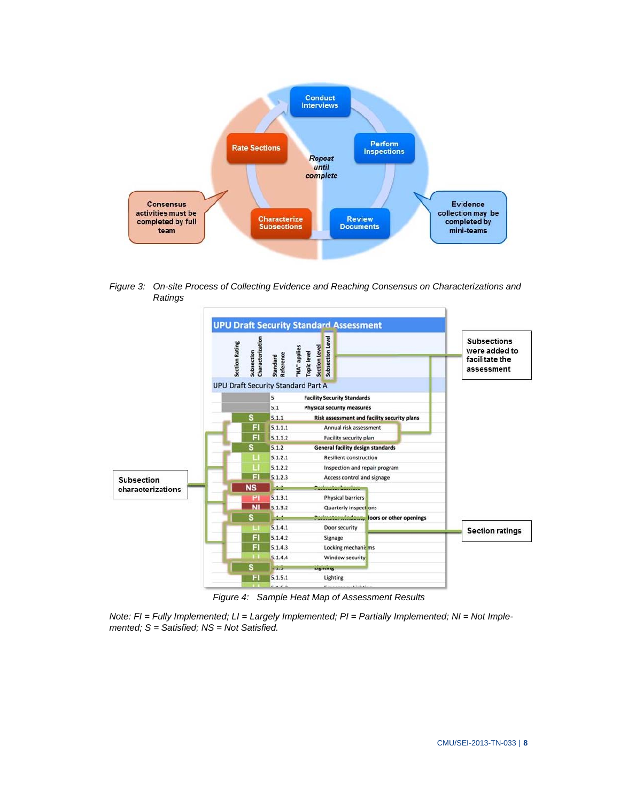

*Figure 3: On-site Process of Collecting Evidence and Reaching Consensus on Characterizations and Ratings* 



*Figure 4: Sample Heat Map of Assessment Results* 

*Note: FI = Fully Implemented; LI = Largely Implemented; PI = Partially Implemented; NI = Not Implemented; S = Satisfied; NS = Not Satisfied.*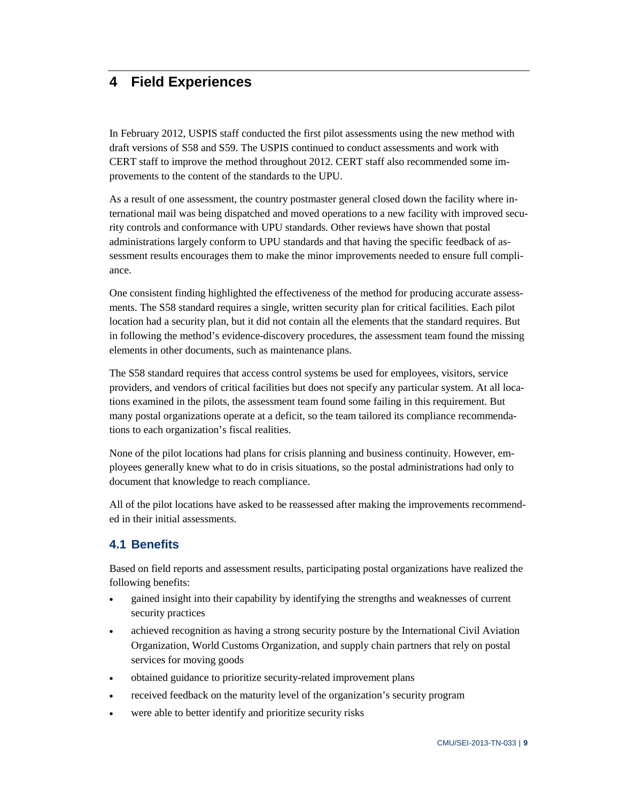# **4 Field Experiences**

In February 2012, USPIS staff conducted the first pilot assessments using the new method with draft versions of S58 and S59. The USPIS continued to conduct assessments and work with CERT staff to improve the method throughout 2012. CERT staff also recommended some improvements to the content of the standards to the UPU.

As a result of one assessment, the country postmaster general closed down the facility where international mail was being dispatched and moved operations to a new facility with improved security controls and conformance with UPU standards. Other reviews have shown that postal administrations largely conform to UPU standards and that having the specific feedback of assessment results encourages them to make the minor improvements needed to ensure full compliance.

One consistent finding highlighted the effectiveness of the method for producing accurate assessments. The S58 standard requires a single, written security plan for critical facilities. Each pilot location had a security plan, but it did not contain all the elements that the standard requires. But in following the method's evidence-discovery procedures, the assessment team found the missing elements in other documents, such as maintenance plans.

The S58 standard requires that access control systems be used for employees, visitors, service providers, and vendors of critical facilities but does not specify any particular system. At all locations examined in the pilots, the assessment team found some failing in this requirement. But many postal organizations operate at a deficit, so the team tailored its compliance recommendations to each organization's fiscal realities.

None of the pilot locations had plans for crisis planning and business continuity. However, employees generally knew what to do in crisis situations, so the postal administrations had only to document that knowledge to reach compliance.

All of the pilot locations have asked to be reassessed after making the improvements recommended in their initial assessments.

#### **4.1 Benefits**

Based on field reports and assessment results, participating postal organizations have realized the following benefits:

- gained insight into their capability by identifying the strengths and weaknesses of current security practices
- achieved recognition as having a strong security posture by the International Civil Aviation Organization, World Customs Organization, and supply chain partners that rely on postal services for moving goods
- obtained guidance to prioritize security-related improvement plans
- received feedback on the maturity level of the organization's security program
- were able to better identify and prioritize security risks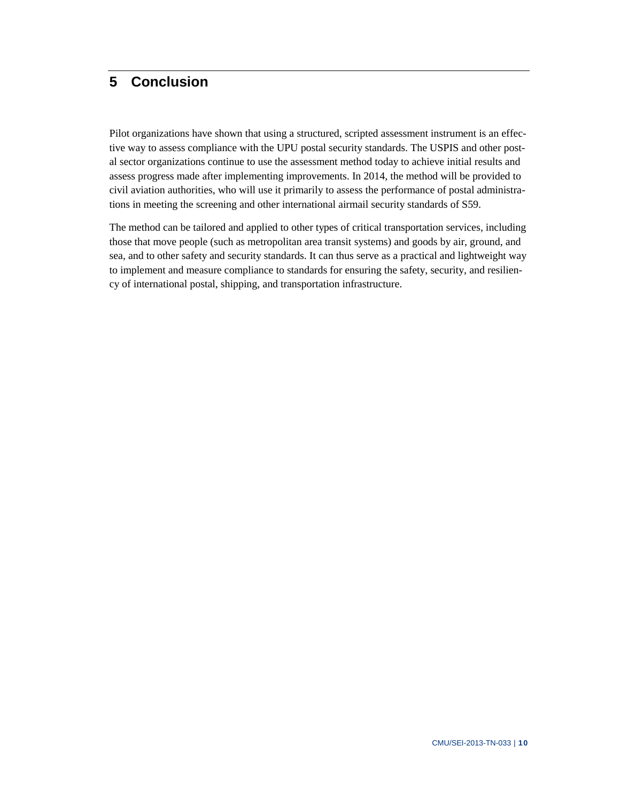# **5 Conclusion**

Pilot organizations have shown that using a structured, scripted assessment instrument is an effective way to assess compliance with the UPU postal security standards. The USPIS and other postal sector organizations continue to use the assessment method today to achieve initial results and assess progress made after implementing improvements. In 2014, the method will be provided to civil aviation authorities, who will use it primarily to assess the performance of postal administrations in meeting the screening and other international airmail security standards of S59.

The method can be tailored and applied to other types of critical transportation services, including those that move people (such as metropolitan area transit systems) and goods by air, ground, and sea, and to other safety and security standards. It can thus serve as a practical and lightweight way to implement and measure compliance to standards for ensuring the safety, security, and resiliency of international postal, shipping, and transportation infrastructure.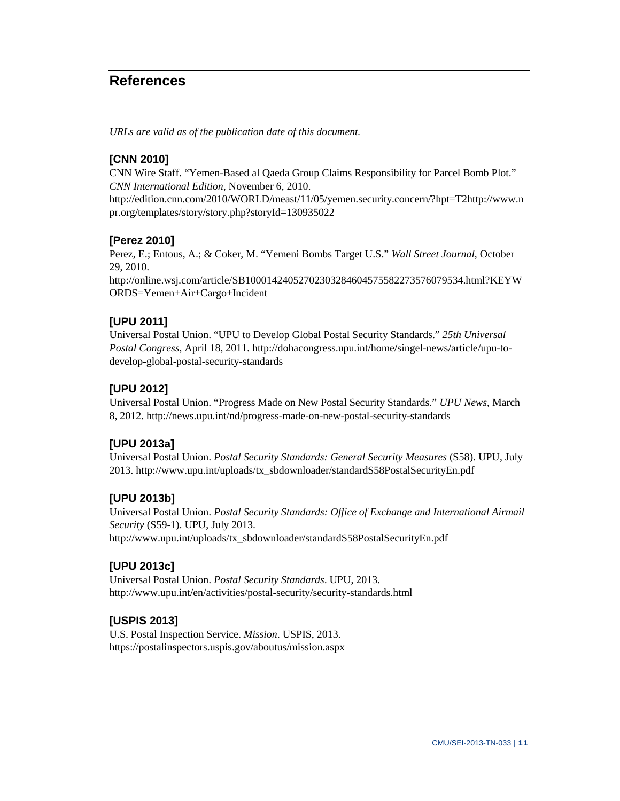### **References**

*URLs are valid as of the publication date of this document.* 

#### **[CNN 2010]**

CNN Wire Staff. "Yemen-Based al Qaeda Group Claims Responsibility for Parcel Bomb Plot." *CNN International Edition*, November 6, 2010.

[http://edition.cnn.com/2010/WORLD/meast/11/05/yemen.security.concern/?hpt=T2http://w](http://edition.cnn.com/2010/WORLD/meast/11/05/yemen.security.concern/?hpt=)[ww.n](T2http://www.n) pr.org/templates/story/story.php?storyId=130935022

#### **[Perez 2010]**

Perez, E.; Entous, A.; & Coker, M. "Yemeni Bombs Target U.S." *Wall Street Journal*, October 29, 2010.

<http://online.wsj.com/article/SB10001424052702303284604575582273576079534.html?KEYW> ORDS=Yemen+Air+Cargo+Incident

#### **[UPU 2011]**

Universal Postal Union. "UPU to Develop Global Postal Security Standards." *25th Universal Postal Congress*[, April 18, 2011. http://dohacongress.upu.int/home/singel-news/article/upu-to](http://dohacongress.upu.int/home/singel-news/article/upu-to-develop-global-postal-security-standards)develop-[global-postal-security-standards](http://dohacongress.upu.int/home/singel-news/article/upu-to-develop-global-postal-security-standards) 

#### **[UPU 2012]**

Universal Postal Union. "Progress Made on New Postal Security Standards." *UPU News*, March 8, 2012. <http://news.upu.int/nd/progress-made-on-new-postal-security-standards>

#### **[UPU 2013a]**

Universal Postal Union. *Postal Security Standards: General Security Measures* (S58). UPU, July 2013. [http://www.upu.int/uploads/tx\\_sbdownloader/standardS58PostalSecurityEn.pdf](http://www.upu.int/uploads/tx_sbdownloader/standardS58PostalSecurityEn.pdf) 

#### **[UPU 2013b]**

Universal Postal Union. *Postal Security Standards: Office of Exchange and International Airmail Security* (S59-1). UPU, July 2013. [http://www.upu.int/uploads/tx\\_sbdownloader/standardS58PostalSecurityEn.pdf](http://www.upu.int/uploads/tx_sbdownloader/standardS58PostalSecurityEn.pdf) 

#### **[UPU 2013c]**

Universal Postal Union. *Postal Security Standards*. UPU, 2013. <http://www.upu.int/en/activities/postal-security/security-standards.html>

#### **[USPIS 2013]**

U.S. Postal Inspection Service. *Mission*. USPIS, 2013. <https://postalinspectors.uspis.gov/aboutus/mission.aspx>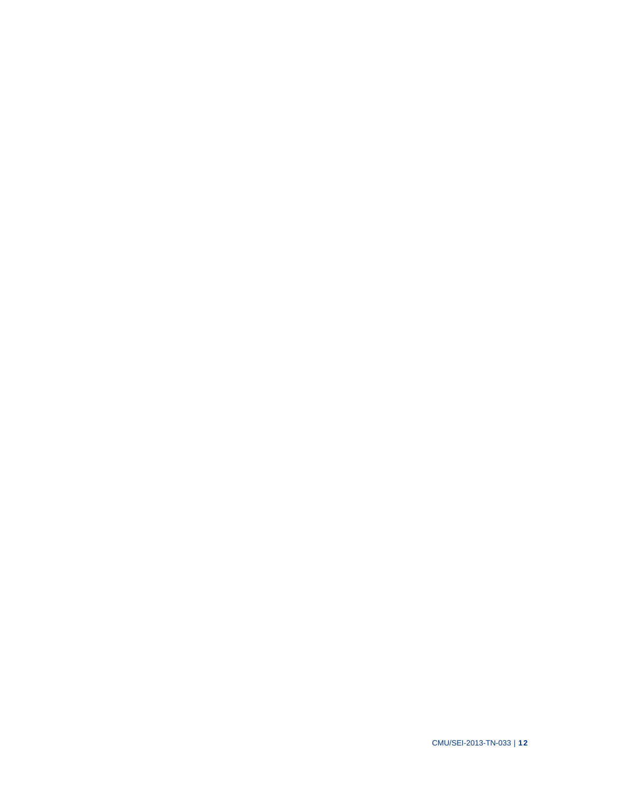CMU/SEI-2013-TN-033 | 12